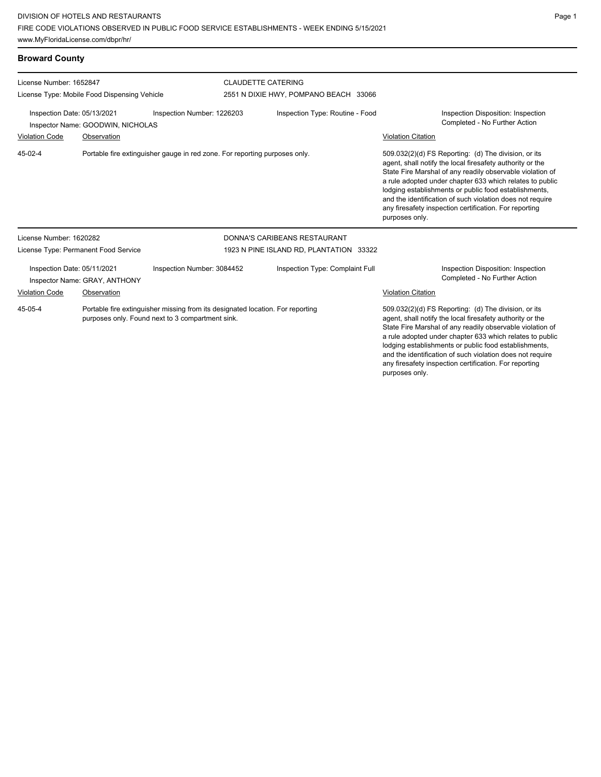any firesafety inspection certification. For reporting

purposes only.

| <b>Broward County</b>                                                                                                                                                     |                                                                                           |                                                                                                                                    |                                         |                                       |                                                                                                                                                                                                                                                                                                                                                                                                                                                                           |  |
|---------------------------------------------------------------------------------------------------------------------------------------------------------------------------|-------------------------------------------------------------------------------------------|------------------------------------------------------------------------------------------------------------------------------------|-----------------------------------------|---------------------------------------|---------------------------------------------------------------------------------------------------------------------------------------------------------------------------------------------------------------------------------------------------------------------------------------------------------------------------------------------------------------------------------------------------------------------------------------------------------------------------|--|
| License Number: 1652847<br>License Type: Mobile Food Dispensing Vehicle<br>Inspection Number: 1226203<br>Inspection Date: 05/13/2021<br>Inspector Name: GOODWIN, NICHOLAS |                                                                                           |                                                                                                                                    | <b>CLAUDETTE CATERING</b>               | 2551 N DIXIE HWY, POMPANO BEACH 33066 |                                                                                                                                                                                                                                                                                                                                                                                                                                                                           |  |
|                                                                                                                                                                           |                                                                                           |                                                                                                                                    | Inspection Type: Routine - Food         |                                       | Inspection Disposition: Inspection<br>Completed - No Further Action                                                                                                                                                                                                                                                                                                                                                                                                       |  |
| <b>Violation Code</b><br>45-02-4                                                                                                                                          | Observation<br>Portable fire extinguisher gauge in red zone. For reporting purposes only. |                                                                                                                                    |                                         |                                       | <b>Violation Citation</b><br>509.032(2)(d) FS Reporting: (d) The division, or its<br>agent, shall notify the local firesafety authority or the<br>State Fire Marshal of any readily observable violation of<br>a rule adopted under chapter 633 which relates to public<br>lodging establishments or public food establishments,<br>and the identification of such violation does not require<br>any firesafety inspection certification. For reporting<br>purposes only. |  |
| License Number: 1620282                                                                                                                                                   |                                                                                           |                                                                                                                                    |                                         | DONNA'S CARIBEANS RESTAURANT          |                                                                                                                                                                                                                                                                                                                                                                                                                                                                           |  |
| License Type: Permanent Food Service                                                                                                                                      |                                                                                           |                                                                                                                                    | 1923 N PINE ISLAND RD, PLANTATION 33322 |                                       |                                                                                                                                                                                                                                                                                                                                                                                                                                                                           |  |
| Inspection Date: 05/11/2021<br>Inspector Name: GRAY, ANTHONY                                                                                                              |                                                                                           | Inspection Number: 3084452                                                                                                         |                                         | Inspection Type: Complaint Full       | Inspection Disposition: Inspection<br>Completed - No Further Action                                                                                                                                                                                                                                                                                                                                                                                                       |  |
| Violation Code                                                                                                                                                            | Observation                                                                               |                                                                                                                                    |                                         |                                       | <b>Violation Citation</b>                                                                                                                                                                                                                                                                                                                                                                                                                                                 |  |
| 45-05-4                                                                                                                                                                   |                                                                                           | Portable fire extinguisher missing from its designated location. For reporting<br>purposes only. Found next to 3 compartment sink. |                                         |                                       | 509.032(2)(d) FS Reporting: (d) The division, or its<br>agent, shall notify the local firesafety authority or the<br>State Fire Marshal of any readily observable violation of<br>a rule adopted under chapter 633 which relates to public<br>lodging establishments or public food establishments,<br>and the identification of such violation does not require                                                                                                          |  |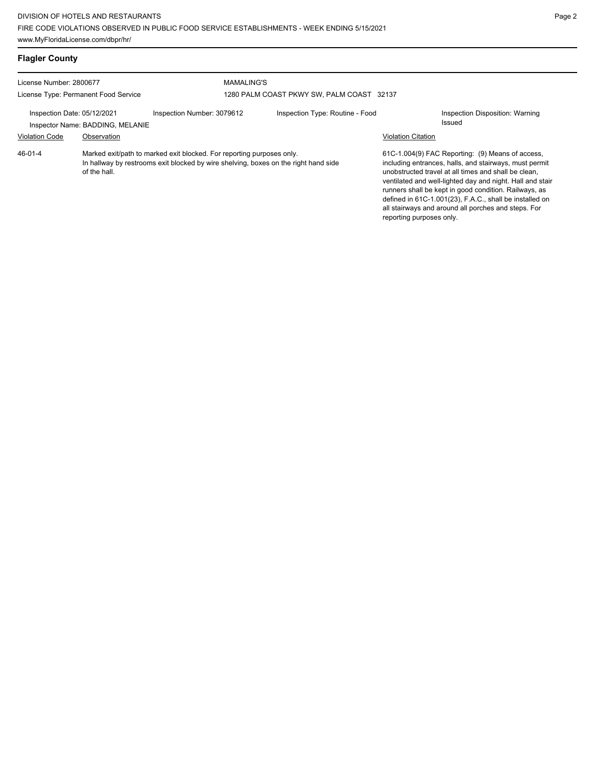| <b>Flagler County</b>                                                                                                                                                                   |                                                 |                            |                                                                |                           |                                                                                                                                                                                                                                                                                                                                                                                                            |
|-----------------------------------------------------------------------------------------------------------------------------------------------------------------------------------------|-------------------------------------------------|----------------------------|----------------------------------------------------------------|---------------------------|------------------------------------------------------------------------------------------------------------------------------------------------------------------------------------------------------------------------------------------------------------------------------------------------------------------------------------------------------------------------------------------------------------|
| License Number: 2800677<br>License Type: Permanent Food Service                                                                                                                         |                                                 |                            | <b>MAMALING'S</b><br>1280 PALM COAST PKWY SW, PALM COAST 32137 |                           |                                                                                                                                                                                                                                                                                                                                                                                                            |
| Inspection Date: 05/12/2021<br><b>Violation Code</b>                                                                                                                                    | Inspector Name: BADDING, MELANIE<br>Observation | Inspection Number: 3079612 | Inspection Type: Routine - Food                                | <b>Violation Citation</b> | Inspection Disposition: Warning<br>Issued                                                                                                                                                                                                                                                                                                                                                                  |
| 46-01-4<br>Marked exit/path to marked exit blocked. For reporting purposes only.<br>In hallway by restrooms exit blocked by wire shelving, boxes on the right hand side<br>of the hall. |                                                 |                            |                                                                | reporting purposes only.  | 61C-1.004(9) FAC Reporting: (9) Means of access,<br>including entrances, halls, and stairways, must permit<br>unobstructed travel at all times and shall be clean.<br>ventilated and well-lighted day and night. Hall and stair<br>runners shall be kept in good condition. Railways, as<br>defined in 61C-1.001(23), F.A.C., shall be installed on<br>all stairways and around all porches and steps. For |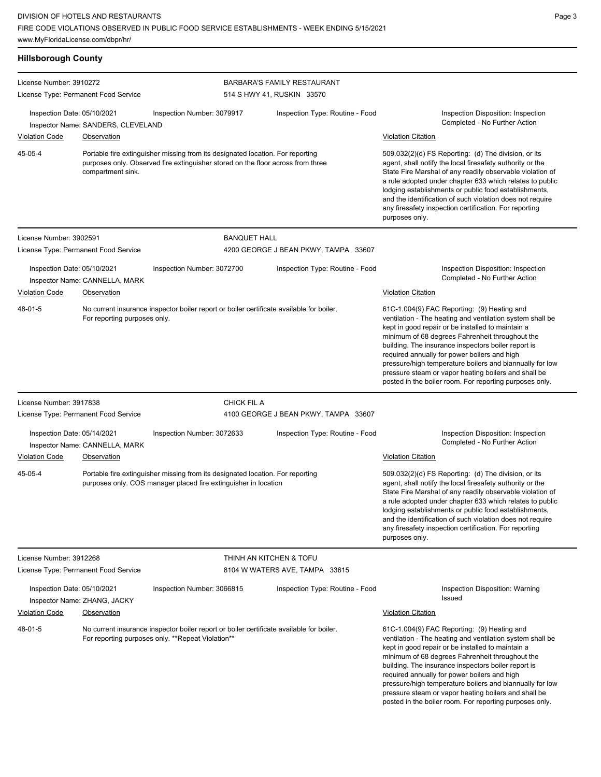**Hillsborough County** License Number: 3910272 License Type: Permanent Food Service BARBARA'S FAMILY RESTAURANT 514 S HWY 41, RUSKIN 33570 Inspection Date: 05/10/2021 Inspection Number: 3079917 Inspection Type: Routine - Food Inspection Disposition: Inspection Inspector Name: SANDERS, CLEVELAND <br>
Inspector Name: SANDERS, CLEVELAND Violation Code Observation Violation Citation Portable fire extinguisher missing from its designated location. For reporting purposes only. Observed fire extinguisher stored on the floor across from three compartment sink. 509.032(2)(d) FS Reporting: (d) The division, or its agent, shall notify the local firesafety authority or the State Fire Marshal of any readily observable violation of a rule adopted under chapter 633 which relates to public lodging establishments or public food establishments, and the identification of such violation does not require any firesafety inspection certification. For reporting purposes only. 45-05-4 License Number: 3902591 License Type: Permanent Food Service BANQUET HALL 4200 GEORGE J BEAN PKWY, TAMPA 33607 Inspection Date: 05/10/2021 Inspection Number: 3072700 Inspection Type: Routine - Food Inspection Disposition: Inspection Inspector Name: CANNELLA, MARK **Example 1999** Completed - No Further Action Violation Code Observation Violation Citation No current insurance inspector boiler report or boiler certificate available for boiler. For reporting purposes only. 61C-1.004(9) FAC Reporting: (9) Heating and ventilation - The heating and ventilation system shall be kept in good repair or be installed to maintain a minimum of 68 degrees Fahrenheit throughout the building. The insurance inspectors boiler report is required annually for power boilers and high pressure/high temperature boilers and biannually for low pressure steam or vapor heating boilers and shall be posted in the boiler room. For reporting purposes only. 48-01-5 License Number: 3917838 License Type: Permanent Food Service CHICK FIL A 4100 GEORGE J BEAN PKWY, TAMPA 33607 Inspection Date: 05/14/2021 Inspection Number: 3072633 Inspection Type: Routine - Food Inspection Disposition: Inspection Completed - No Further Action Inspector Name: CANNELLA, MARK Violation Code Observation Violation Citation Portable fire extinguisher missing from its designated location. For reporting purposes only. COS manager placed fire extinguisher in location 509.032(2)(d) FS Reporting: (d) The division, or its agent, shall notify the local firesafety authority or the State Fire Marshal of any readily observable violation of a rule adopted under chapter 633 which relates to public lodging establishments or public food establishments, and the identification of such violation does not require any firesafety inspection certification. For reporting purposes only. 45-05-4 License Number: 3912268 License Type: Permanent Food Service THINH AN KITCHEN & TOFU 8104 W WATERS AVE, TAMPA 33615 Inspection Date: 05/10/2021 Inspection Number: 3066815 Inspection Type: Routine - Food Inspection Disposition: Warning Issued Inspector Name: ZHANG, JACKY Violation Code Observation **College Contract Contract Contract Contract Contract Contract Contract Contract Contract Contract Contract Contract Contract Contract Contract Contract Contract Contract Contract Contract Contra** No current insurance inspector boiler report or boiler certificate available for boiler. For reporting purposes only. \*\*Repeat Violation\*\* 61C-1.004(9) FAC Reporting: (9) Heating and ventilation - The heating and ventilation system shall be kept in good repair or be installed to maintain a minimum of 68 degrees Fahrenheit throughout the building. The insurance inspectors boiler report is required annually for power boilers and high pressure/high temperature boilers and biannually for low pressure steam or vapor heating boilers and shall be 48-01-5

posted in the boiler room. For reporting purposes only.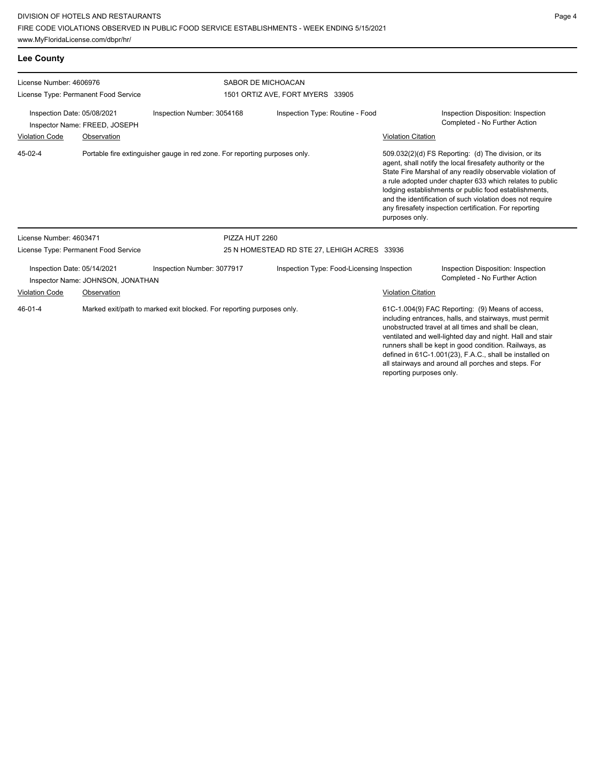www.MyFloridaLicense.com/dbpr/hr/

| Page<br>4 |
|-----------|
|-----------|

| <b>Lee County</b>                                                                                                                  |                                      |                                            |                                                        |                                                                                                  |                                                                                                                                                                                                                                                                                                                                                                                                                                              |                                                                                                                                                                                                                                                                                                                                                                                                            |
|------------------------------------------------------------------------------------------------------------------------------------|--------------------------------------|--------------------------------------------|--------------------------------------------------------|--------------------------------------------------------------------------------------------------|----------------------------------------------------------------------------------------------------------------------------------------------------------------------------------------------------------------------------------------------------------------------------------------------------------------------------------------------------------------------------------------------------------------------------------------------|------------------------------------------------------------------------------------------------------------------------------------------------------------------------------------------------------------------------------------------------------------------------------------------------------------------------------------------------------------------------------------------------------------|
| License Number: 4606976                                                                                                            | License Type: Permanent Food Service |                                            | SABOR DE MICHOACAN<br>1501 ORTIZ AVE, FORT MYERS 33905 |                                                                                                  |                                                                                                                                                                                                                                                                                                                                                                                                                                              |                                                                                                                                                                                                                                                                                                                                                                                                            |
| Inspection Date: 05/08/2021<br>Inspection Number: 3054168<br>Inspector Name: FREED, JOSEPH<br><b>Violation Code</b><br>Observation |                                      | Inspection Type: Routine - Food            |                                                        | Inspection Disposition: Inspection<br>Completed - No Further Action<br><b>Violation Citation</b> |                                                                                                                                                                                                                                                                                                                                                                                                                                              |                                                                                                                                                                                                                                                                                                                                                                                                            |
| 45-02-4<br>Portable fire extinguisher gauge in red zone. For reporting purposes only.                                              |                                      |                                            |                                                        |                                                                                                  | 509.032(2)(d) FS Reporting: (d) The division, or its<br>agent, shall notify the local firesafety authority or the<br>State Fire Marshal of any readily observable violation of<br>a rule adopted under chapter 633 which relates to public<br>lodging establishments or public food establishments,<br>and the identification of such violation does not require<br>any firesafety inspection certification. For reporting<br>purposes only. |                                                                                                                                                                                                                                                                                                                                                                                                            |
| License Number: 4603471                                                                                                            |                                      |                                            | PIZZA HUT 2260                                         |                                                                                                  |                                                                                                                                                                                                                                                                                                                                                                                                                                              |                                                                                                                                                                                                                                                                                                                                                                                                            |
| License Type: Permanent Food Service                                                                                               |                                      |                                            | 25 N HOMESTEAD RD STE 27, LEHIGH ACRES 33936           |                                                                                                  |                                                                                                                                                                                                                                                                                                                                                                                                                                              |                                                                                                                                                                                                                                                                                                                                                                                                            |
| Inspection Date: 05/14/2021<br>Inspection Number: 3077917<br>Inspector Name: JOHNSON, JONATHAN                                     |                                      | Inspection Type: Food-Licensing Inspection |                                                        |                                                                                                  | Inspection Disposition: Inspection<br>Completed - No Further Action                                                                                                                                                                                                                                                                                                                                                                          |                                                                                                                                                                                                                                                                                                                                                                                                            |
| <b>Violation Code</b>                                                                                                              | Observation                          |                                            |                                                        |                                                                                                  | Violation Citation                                                                                                                                                                                                                                                                                                                                                                                                                           |                                                                                                                                                                                                                                                                                                                                                                                                            |
| $46 - 01 - 4$<br>Marked exit/path to marked exit blocked. For reporting purposes only.                                             |                                      |                                            |                                                        |                                                                                                  |                                                                                                                                                                                                                                                                                                                                                                                                                                              | 61C-1.004(9) FAC Reporting: (9) Means of access,<br>including entrances, halls, and stairways, must permit<br>unobstructed travel at all times and shall be clean.<br>ventilated and well-lighted day and night. Hall and stair<br>runners shall be kept in good condition. Railways, as<br>defined in 61C-1.001(23), F.A.C., shall be installed on<br>all stairways and around all porches and steps. For |

reporting purposes only.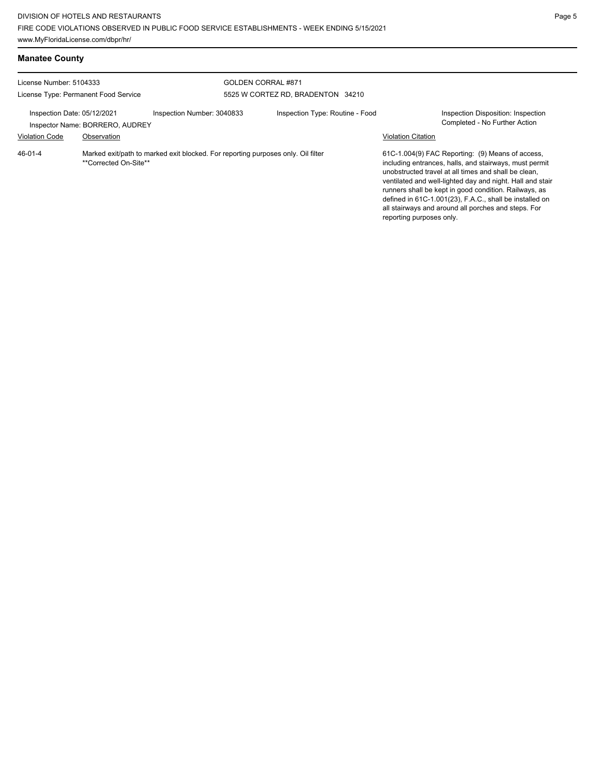**Manatee County**

| License Number: 5104333                                        |                                                                                                           |                                                               | GOLDEN CORRAL #871                |                           |                                                                                                                                                                                                                                                                                                                                                                                                            |
|----------------------------------------------------------------|-----------------------------------------------------------------------------------------------------------|---------------------------------------------------------------|-----------------------------------|---------------------------|------------------------------------------------------------------------------------------------------------------------------------------------------------------------------------------------------------------------------------------------------------------------------------------------------------------------------------------------------------------------------------------------------------|
| License Type: Permanent Food Service                           |                                                                                                           |                                                               | 5525 W CORTEZ RD. BRADENTON 34210 |                           |                                                                                                                                                                                                                                                                                                                                                                                                            |
| Inspection Date: 05/12/2021<br>Inspector Name: BORRERO, AUDREY |                                                                                                           | Inspection Type: Routine - Food<br>Inspection Number: 3040833 |                                   |                           | Inspection Disposition: Inspection<br>Completed - No Further Action                                                                                                                                                                                                                                                                                                                                        |
| <b>Violation Code</b>                                          | Observation                                                                                               |                                                               |                                   | <b>Violation Citation</b> |                                                                                                                                                                                                                                                                                                                                                                                                            |
| $46 - 01 - 4$                                                  | Marked exit/path to marked exit blocked. For reporting purposes only. Oil filter<br>**Corrected On-Site** |                                                               |                                   | reporting purposes only.  | 61C-1.004(9) FAC Reporting: (9) Means of access,<br>including entrances, halls, and stairways, must permit<br>unobstructed travel at all times and shall be clean.<br>ventilated and well-lighted day and night. Hall and stair<br>runners shall be kept in good condition. Railways, as<br>defined in 61C-1.001(23), F.A.C., shall be installed on<br>all stairways and around all porches and steps. For |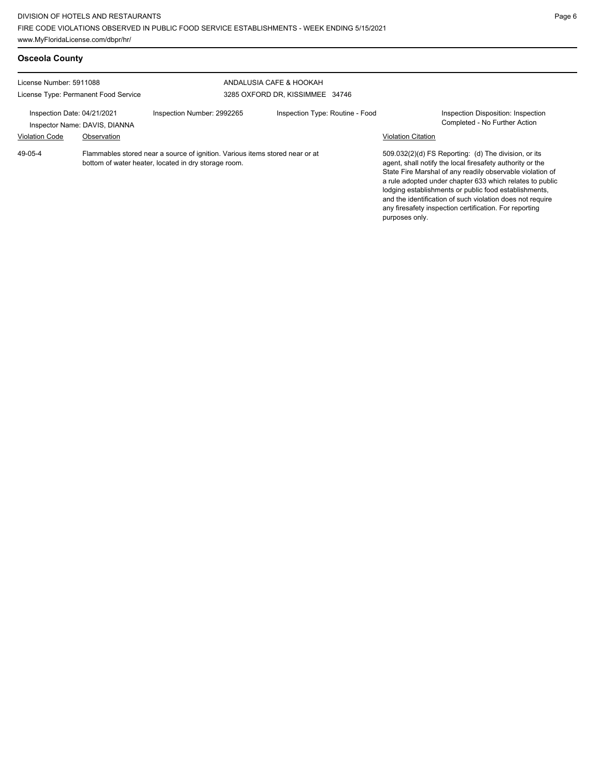| <b>Osceola County</b>                                           |                                              |                                                                                                                                      |                                                            |                           |                                                                                                                                                                                                                                                                                                                                                                                                                            |
|-----------------------------------------------------------------|----------------------------------------------|--------------------------------------------------------------------------------------------------------------------------------------|------------------------------------------------------------|---------------------------|----------------------------------------------------------------------------------------------------------------------------------------------------------------------------------------------------------------------------------------------------------------------------------------------------------------------------------------------------------------------------------------------------------------------------|
| License Number: 5911088<br>License Type: Permanent Food Service |                                              |                                                                                                                                      | ANDALUSIA CAFE & HOOKAH<br>3285 OXFORD DR, KISSIMMEE 34746 |                           |                                                                                                                                                                                                                                                                                                                                                                                                                            |
| Inspection Date: 04/21/2021<br><b>Violation Code</b>            | Inspector Name: DAVIS, DIANNA<br>Observation | Inspection Number: 2992265                                                                                                           | Inspection Type: Routine - Food                            | <b>Violation Citation</b> | Inspection Disposition: Inspection<br>Completed - No Further Action                                                                                                                                                                                                                                                                                                                                                        |
| 49-05-4                                                         |                                              | Flammables stored near a source of ignition. Various items stored near or at<br>bottom of water heater, located in dry storage room. |                                                            | purposes only.            | 509.032(2)(d) FS Reporting: (d) The division, or its<br>agent, shall notify the local firesafety authority or the<br>State Fire Marshal of any readily observable violation of<br>a rule adopted under chapter 633 which relates to public<br>lodging establishments or public food establishments,<br>and the identification of such violation does not require<br>any firesafety inspection certification. For reporting |